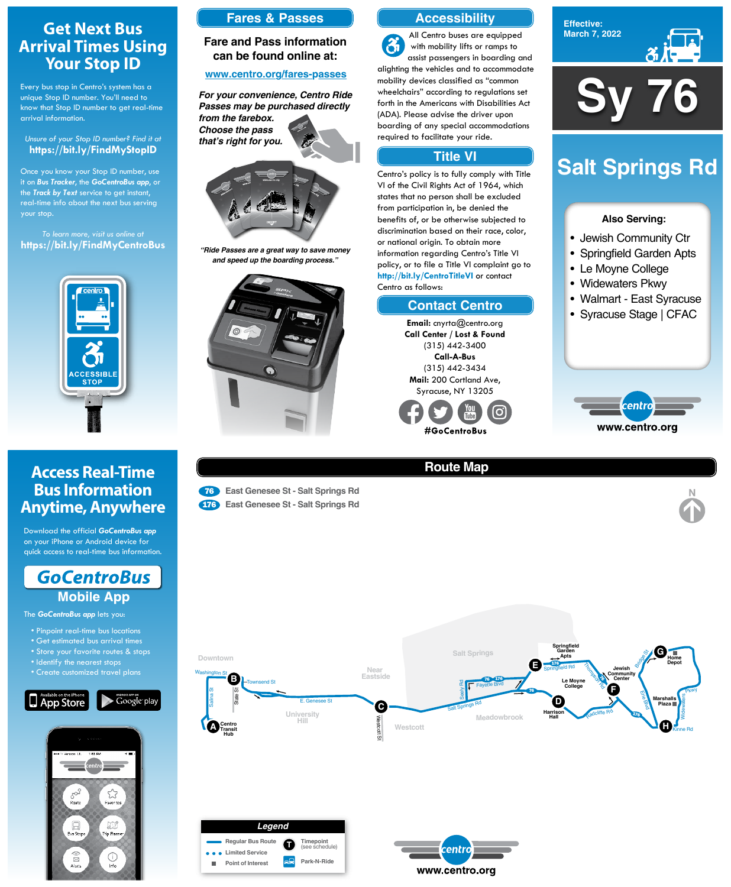**Sy 76**

**Effective: March 7, 2022**



### **Also Serving:**

- Jewish Community Ctr
- Springfield Garden Apts
- Le Moyne College
- Widewaters Pkwy
- Walmart East Syracuse
- Syracuse Stage | CFAC



# **Salt Springs Rd**

## **Get Next Bus Arrival Times Using Your Stop ID**

Every bus stop in Centro's system has a unique Stop ID number. You'll need to know that Stop ID number to get real-time arrival information.

#### *Unsure of your Stop ID number? Find it at* **https://bit.ly/FindMyStopID**

Once you know your Stop ID number, use it on *Bus Tracker*, the *GoCentroBus app*, or the *Track by Text* service to get instant, real-time info about the next bus serving your stop.

*To learn more, visit us online at* **https://bit.ly/FindMyCentroBus**



## **Access Real-Time Bus Information Anytime, Anywhere**

Download the official *GoCentroBus app* on your iPhone or Android device for quick access to real-time bus information.



The *GoCentroBus app* lets you:

- Pinpoint real-time bus locations
- Get estimated bus arrival times
- Store your favorite routes & stops

- Identify the nearest stops
- Create customized travel plans









## **Route Map**





<sup>76</sup> **East Genesee St - Salt Springs Rd** <sup>176</sup> **East Genesee St - Salt Springs Rd**



## **Accessibility**

## **Contact Centro**

## **Title VI**

All Centro buses are equipped  $\mathfrak{F}$ with mobility lifts or ramps to assist passengers in boarding and alighting the vehicles and to accommodate mobility devices classified as "common wheelchairs" according to regulations set forth in the Americans with Disabilities Act (ADA). Please advise the driver upon boarding of any special accommodations required to facilitate your ride.

Centro's policy is to fully comply with Title VI of the Civil Rights Act of 1964, which states that no person shall be excluded from participation in, be denied the benefits of, or be otherwise subjected to discrimination based on their race, color, or national origin. To obtain more information regarding Centro's Title VI policy, or to file a Title VI complaint go to **http://bit.ly/CentroTitleVI** or contact Centro as follows:

> **Email:** cnyrta@centro.org **Call Center / Lost & Found** (315) 442-3400 **Call-A-Bus** (315) 442-3434 **Mail:** 200 Cortland Ave, Syracuse, NY 13205



## **Fares & Passes**

## **Fare and Pass information can be found online at:**

### **www.centro.org/fares-passes**



*"Ride Passes are a great way to save money and speed up the boarding process."*



*For your convenience, Centro Ride Passes may be purchased directly from the farebox. Choose the pass that's right for you.*